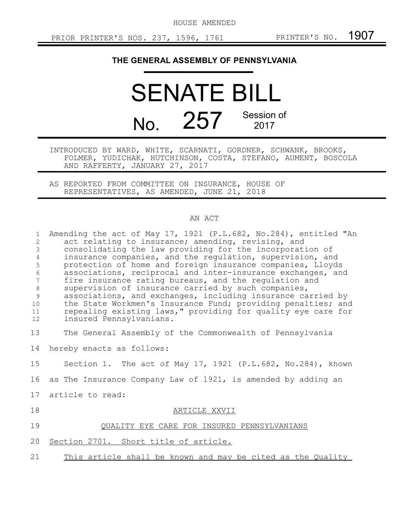HOUSE AMENDED

## **THE GENERAL ASSEMBLY OF PENNSYLVANIA**

SENATE BILL No. 257 Session of 2017

INTRODUCED BY WARD, WHITE, SCARNATI, GORDNER, SCHWANK, BROOKS, FOLMER, YUDICHAK, HUTCHINSON, COSTA, STEFANO, AUMENT, BOSCOLA AND RAFFERTY, JANUARY 27, 2017

AS REPORTED FROM COMMITTEE ON INSURANCE, HOUSE OF REPRESENTATIVES, AS AMENDED, JUNE 21, 2018

## AN ACT

| $\mathbf{1}$<br>$\overline{2}$<br>3<br>$\overline{4}$<br>5<br>$\sqrt{6}$<br>7<br>$\,8\,$<br>9<br>10<br>11<br>12 | Amending the act of May 17, 1921 (P.L.682, No.284), entitled "An<br>act relating to insurance; amending, revising, and<br>consolidating the law providing for the incorporation of<br>insurance companies, and the regulation, supervision, and<br>protection of home and foreign insurance companies, Lloyds<br>associations, reciprocal and inter-insurance exchanges, and<br>fire insurance rating bureaus, and the regulation and<br>supervision of insurance carried by such companies,<br>associations, and exchanges, including insurance carried by<br>the State Workmen's Insurance Fund; providing penalties; and<br>repealing existing laws," providing for quality eye care for<br>insured Pennsylvanians. |
|-----------------------------------------------------------------------------------------------------------------|------------------------------------------------------------------------------------------------------------------------------------------------------------------------------------------------------------------------------------------------------------------------------------------------------------------------------------------------------------------------------------------------------------------------------------------------------------------------------------------------------------------------------------------------------------------------------------------------------------------------------------------------------------------------------------------------------------------------|
| 13                                                                                                              | The General Assembly of the Commonwealth of Pennsylvania                                                                                                                                                                                                                                                                                                                                                                                                                                                                                                                                                                                                                                                               |
| 14                                                                                                              | hereby enacts as follows:                                                                                                                                                                                                                                                                                                                                                                                                                                                                                                                                                                                                                                                                                              |
| 15                                                                                                              | Section 1. The act of May 17, 1921 (P.L.682, No.284), known                                                                                                                                                                                                                                                                                                                                                                                                                                                                                                                                                                                                                                                            |
| 16                                                                                                              | as The Insurance Company Law of 1921, is amended by adding an                                                                                                                                                                                                                                                                                                                                                                                                                                                                                                                                                                                                                                                          |
| 17                                                                                                              | article to read:                                                                                                                                                                                                                                                                                                                                                                                                                                                                                                                                                                                                                                                                                                       |
| 18                                                                                                              | ARTICLE XXVII                                                                                                                                                                                                                                                                                                                                                                                                                                                                                                                                                                                                                                                                                                          |
| 19                                                                                                              | QUALITY EYE CARE FOR INSURED PENNSYLVANIANS                                                                                                                                                                                                                                                                                                                                                                                                                                                                                                                                                                                                                                                                            |
| 20                                                                                                              | Section 2701. Short title of article.                                                                                                                                                                                                                                                                                                                                                                                                                                                                                                                                                                                                                                                                                  |
| 21                                                                                                              | This article shall be known and may be cited as the Quality                                                                                                                                                                                                                                                                                                                                                                                                                                                                                                                                                                                                                                                            |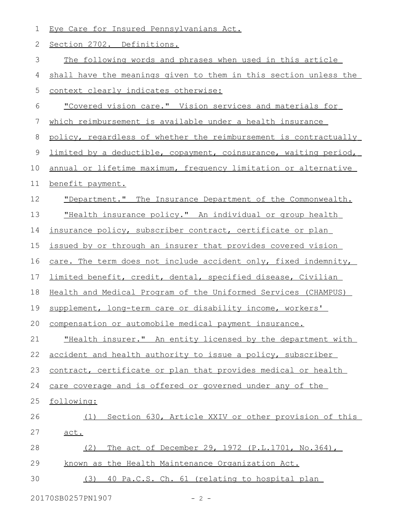Eye Care for Insured Pennsylvanians Act. Section 2702. Definitions. The following words and phrases when used in this article shall have the meanings given to them in this section unless the context clearly indicates otherwise: "Covered vision care." Vision services and materials for which reimbursement is available under a health insurance policy, regardless of whether the reimbursement is contractually limited by a deductible, copayment, coinsurance, waiting period, annual or lifetime maximum, frequency limitation or alternative benefit payment. "Department." The Insurance Department of the Commonwealth. "Health insurance policy." An individual or group health insurance policy, subscriber contract, certificate or plan issued by or through an insurer that provides covered vision care. The term does not include accident only, fixed indemnity, limited benefit, credit, dental, specified disease, Civilian Health and Medical Program of the Uniformed Services (CHAMPUS) supplement, long-term care or disability income, workers' compensation or automobile medical payment insurance. "Health insurer." An entity licensed by the department with accident and health authority to issue a policy, subscriber contract, certificate or plan that provides medical or health care coverage and is offered or governed under any of the following: (1) Section 630, Article XXIV or other provision of this act. (2) The act of December 29, 1972 (P.L.1701, No.364), known as the Health Maintenance Organization Act. (3) 40 Pa.C.S. Ch. 61 (relating to hospital plan 1 2 3 4 5 6 7 8 9 10 11 12 13 14 15 16 17 18 19 20 21 22 23 24 25 26 27 28 29 30

20170SB0257PN1907 - 2 -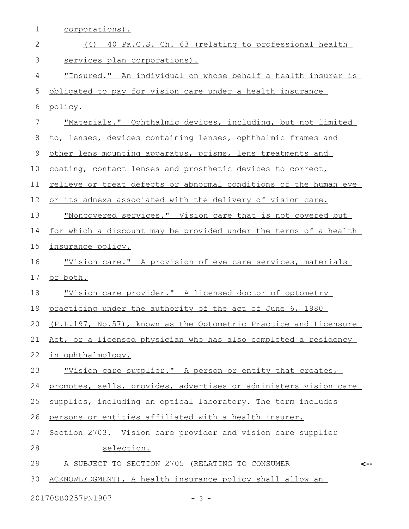| $\mathbf 1$  | corporations).                                                   |
|--------------|------------------------------------------------------------------|
| $\mathbf{2}$ | (4) 40 Pa.C.S. Ch. 63 (relating to professional health           |
| 3            | services plan corporations).                                     |
| 4            | "Insured." An individual on whose behalf a health insurer is     |
| 5            | obligated to pay for vision care under a health insurance        |
| 6            | policy.                                                          |
| 7            | "Materials." Ophthalmic devices, including, but not limited      |
| $8\,$        | to, lenses, devices containing lenses, ophthalmic frames and     |
| 9            | other lens mounting apparatus, prisms, lens treatments and       |
| 10           | coating, contact lenses and prosthetic devices to correct,       |
| 11           | relieve or treat defects or abnormal conditions of the human eye |
| 12           | or its adnexa associated with the delivery of vision care.       |
| 13           | "Noncovered services." Vision care that is not covered but       |
| 14           | for which a discount may be provided under the terms of a health |
| 15           | insurance policy.                                                |
| 16           | "Vision care." A provision of eye care services, materials       |
| 17           | or both.                                                         |
| 18           | "Vision care provider." A licensed doctor of optometry           |
| 19           | practicing under the authority of the act of June 6, 1980        |
| 20           | (P.L.197, No.57), known as the Optometric Practice and Licensure |
| 21           | Act, or a licensed physician who has also completed a residency  |
| 22           | in ophthalmology.                                                |
| 23           | "Vision care supplier." A person or entity that creates,         |
| 24           | promotes, sells, provides, advertises or administers vision care |
| 25           | supplies, including an optical laboratory. The term includes     |
| 26           | persons or entities affiliated with a health insurer.            |
| 27           | Section 2703. Vision care provider and vision care supplier      |
| 28           | selection.                                                       |
| 29           | A SUBJECT TO SECTION 2705 (RELATING TO CONSUMER<br><--           |
| 30           | ACKNOWLEDGMENT), A health insurance policy shall allow an        |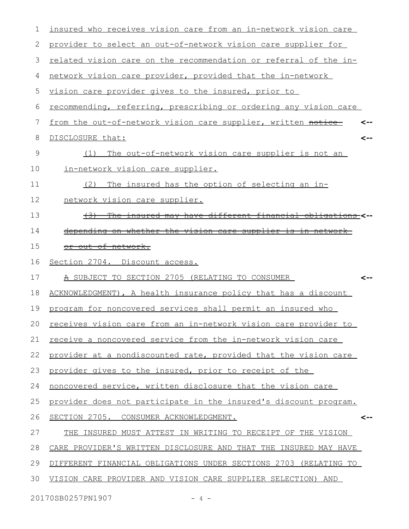| 1             | insured who receives vision care from an in-network vision care  |
|---------------|------------------------------------------------------------------|
| 2             | provider to select an out-of-network vision care supplier for    |
| 3             | related vision care on the recommendation or referral of the in- |
| 4             | network vision care provider, provided that the in-network       |
| 5             | vision care provider gives to the insured, prior to              |
| 6             | recommending, referring, prescribing or ordering any vision care |
| 7             | from the out-of-network vision care supplier, written notice     |
| 8             | DISCLOSURE that:<br><--                                          |
| $\mathcal{G}$ | The out-of-network vision care supplier is not an<br>(1)         |
| 10            | in-network vision care supplier.                                 |
| 11            | The insured has the option of selecting an in-<br>(2)            |
| 12            | network vision care supplier.                                    |
| 13            | (3) The insured may have different financial obligations <--     |
| 14            | depending on whether the vision care supplier is in network      |
| 15            | or out of network.                                               |
| 16            | Section 2704. Discount access.                                   |
| 17            | A SUBJECT TO SECTION 2705 (RELATING TO CONSUMER                  |
| 18            | ACKNOWLEDGMENT), A health insurance policy that has a discount   |
| 19            | program for noncovered services shall permit an insured who      |
| 20            | receives vision care from an in-network vision care provider to  |
| 21            | receive a noncovered service from the in-network vision care     |
| 22            | provider at a nondiscounted rate, provided that the vision care  |
| 23            | provider gives to the insured, prior to receipt of the           |
| 24            | noncovered service, written disclosure that the vision care      |
| 25            | provider does not participate in the insured's discount program. |
| 26            | SECTION 2705. CONSUMER ACKNOWLEDGMENT.                           |
| 27            | INSURED MUST ATTEST IN WRITING TO RECEIPT OF THE VISION<br>THE   |
| 28            | CARE PROVIDER'S WRITTEN DISCLOSURE AND THAT THE INSURED MAY HAVE |
| 29            | DIFFERENT FINANCIAL OBLIGATIONS UNDER SECTIONS 2703 (RELATING TO |
| 30            | VISION CARE PROVIDER AND VISION CARE SUPPLIER SELECTION) AND     |
|               |                                                                  |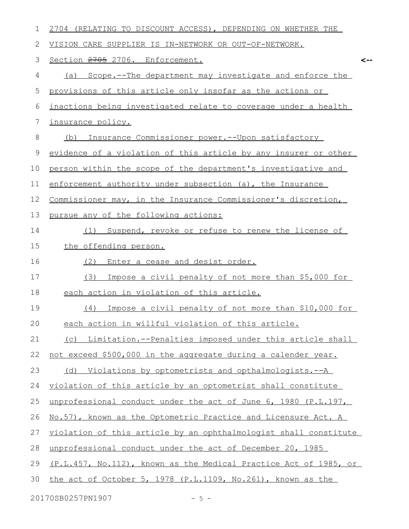| 1  | 2704 (RELATING TO DISCOUNT ACCESS), DEPENDING ON WHETHER THE     |
|----|------------------------------------------------------------------|
| 2  | VISION CARE SUPPLIER IS IN-NETWORK OR OUT-OF-NETWORK.            |
| 3  | Section 2705 2706. Enforcement.<br><--                           |
| 4  | Scope.--The department may investigate and enforce the<br>(a)    |
| 5  | provisions of this article only insofar as the actions or        |
| 6  | inactions being investigated relate to coverage under a health   |
| 7  | insurance policy.                                                |
| 8  | Insurance Commissioner power.--Upon satisfactory<br>(b)          |
| 9  | evidence of a violation of this article by any insurer or other  |
| 10 | person within the scope of the department's investigative and    |
| 11 | enforcement authority under subsection (a), the Insurance        |
| 12 | Commissioner may, in the Insurance Commissioner's discretion,    |
| 13 | pursue any of the following actions:                             |
| 14 | Suspend, revoke or refuse to renew the license of<br>(1)         |
| 15 | the offending person.                                            |
| 16 | (2)<br>Enter a cease and desist order.                           |
| 17 | (3)<br>Impose a civil penalty of not more than \$5,000 for       |
| 18 | each action in violation of this article.                        |
| 19 | Impose a civil penalty of not more than \$10,000 for<br>(4)      |
| 20 | each action in willful violation of this article.                |
| 21 | (c) Limitation.--Penalties imposed under this article shall      |
| 22 | not exceed \$500,000 in the aggregate during a calender year.    |
| 23 | (d) Violations by optometrists and opthalmologists.--A           |
| 24 | violation of this article by an optometrist shall constitute     |
| 25 | unprofessional conduct under the act of June 6, 1980 (P.L.197,   |
| 26 | No.57), known as the Optometric Practice and Licensure Act. A    |
| 27 | violation of this article by an ophthalmologist shall constitute |
| 28 | unprofessional conduct under the act of December 20, 1985        |
| 29 | (P.L.457, No.112), known as the Medical Practice Act of 1985, or |
| 30 | the act of October 5, 1978 (P.L.1109, No.261), known as the      |
|    | 20170SB0257PN1907<br>$-5 -$                                      |